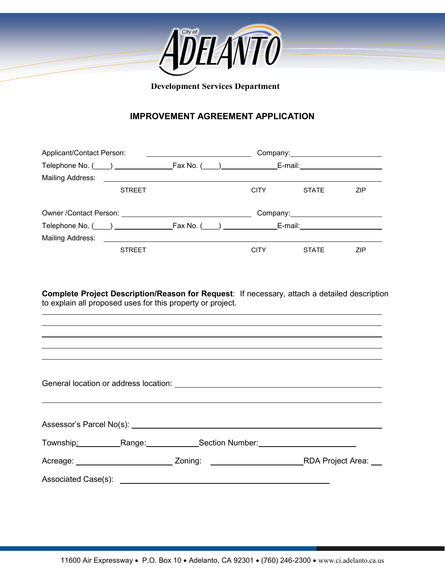

 **Development Services Department**

## **IMPROVEMENT AGREEMENT APPLICATION**

| Applicant/Contact Person:                                                                                       |                                                  |                     |                             |            |
|-----------------------------------------------------------------------------------------------------------------|--------------------------------------------------|---------------------|-----------------------------|------------|
|                                                                                                                 | $\textsf{Fax No.} \; (\underline{\hspace{1cm}})$ |                     | E-mail: ___________________ |            |
|                                                                                                                 |                                                  |                     |                             |            |
| <b>STREET</b>                                                                                                   |                                                  | <b>CITY</b>         | <b>STATE</b>                | <b>ZIP</b> |
| Owner / Contact Person: 2008 2009 2010 2020 2021 2022 2023 2024 2022 2023 2024 2022 2023 2024 2022 2023 2024 20 |                                                  |                     |                             |            |
|                                                                                                                 |                                                  | Fax No. ( ) E-mail: |                             |            |
|                                                                                                                 |                                                  |                     |                             |            |
| <b>STREET</b>                                                                                                   |                                                  | <b>CITY</b>         | <b>STATE</b>                | <b>ZIP</b> |

**Complete Project Description/Reason for Request**: If necessary, attach a detailed description to explain all proposed uses for this property or project.

|                                                                                                       | Assessor's Parcel No(s): \\espirit \\espirit \\espirit \\espirit \\espirit \\espirit \\espirit \\espirit \\espirit \\espirit \\espirit \\espirit \\espirit \\espirit \\espirit \\espirit \\espirit \\espirit \\espirit \\espir |  |
|-------------------------------------------------------------------------------------------------------|--------------------------------------------------------------------------------------------------------------------------------------------------------------------------------------------------------------------------------|--|
|                                                                                                       | Township: Range: Communication Number: Communication Number:                                                                                                                                                                   |  |
| Acreage: ______________________________Zoning: _________________________________RDA Project Area: ___ |                                                                                                                                                                                                                                |  |
|                                                                                                       |                                                                                                                                                                                                                                |  |
|                                                                                                       |                                                                                                                                                                                                                                |  |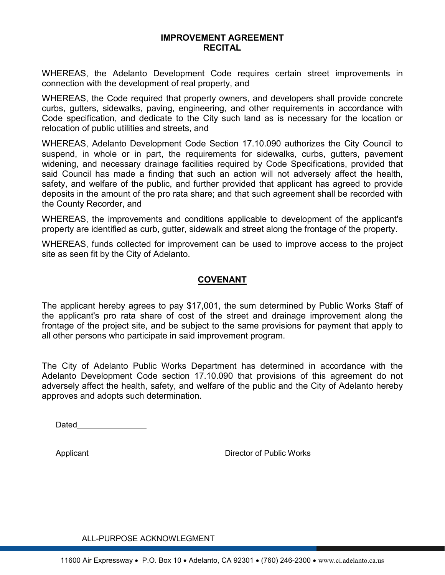## **IMPROVEMENT AGREEMENT RECITAL**

WHEREAS, the Adelanto Development Code requires certain street improvements in connection with the development of real property, and

WHEREAS, the Code required that property owners, and developers shall provide concrete curbs, gutters, sidewalks, paving, engineering, and other requirements in accordance with Code specification, and dedicate to the City such land as is necessary for the location or relocation of public utilities and streets, and

WHEREAS, Adelanto Development Code Section 17.10.090 authorizes the City Council to suspend, in whole or in part, the requirements for sidewalks, curbs, gutters, pavement widening, and necessary drainage facilities required by Code Specifications, provided that said Council has made a finding that such an action will not adversely affect the health, safety, and welfare of the public, and further provided that applicant has agreed to provide deposits in the amount of the pro rata share; and that such agreement shall be recorded with the County Recorder, and

WHEREAS, the improvements and conditions applicable to development of the applicant's property are identified as curb, gutter, sidewalk and street along the frontage of the property.

WHEREAS, funds collected for improvement can be used to improve access to the project site as seen fit by the City of Adelanto.

## **COVENANT**

The applicant hereby agrees to pay \$17,001, the sum determined by Public Works Staff of the applicant's pro rata share of cost of the street and drainage improvement along the frontage of the project site, and be subject to the same provisions for payment that apply to all other persons who participate in said improvement program.

The City of Adelanto Public Works Department has determined in accordance with the Adelanto Development Code section 17.10.090 that provisions of this agreement do not adversely affect the health, safety, and welfare of the public and the City of Adelanto hereby approves and adopts such determination.

Dated

Applicant **Director of Public Works** 

ALL-PURPOSE ACKNOWLEGMENT